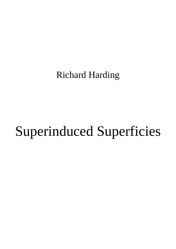Richard Harding

## Superinduced Superficies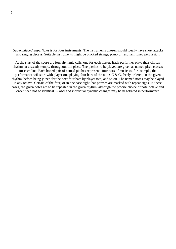*Superinduced Superficies* is for four instruments. The instruments chosen should ideally have short attacks and ringing decays. Suitable instruments might be plucked strings, piano or resonant tuned percussion.

At the start of the score are four rhythmic cells, one for each player. Each performer plays their chosen rhythm, at a steady tempo, throughout the piece. The pitches to be played are given as named pitch classes for each line. Each boxed pair of named pitches represents four bars of music so, for example, the performance will start with player one playing four bars of the notes  $C \& G$ , freely ordered, in the given rhythm, before being joined for the next four bars by player two, and so on. The named notes may be played in any octave. Certain of the four, or in one case eight, bar phrases are marked with repeat signs. In these cases, the given notes are to be repeated in the given rhythm, although the precise choice of note octave and order need not be identical. Global and individual dynamic changes may be negotiated in performance.